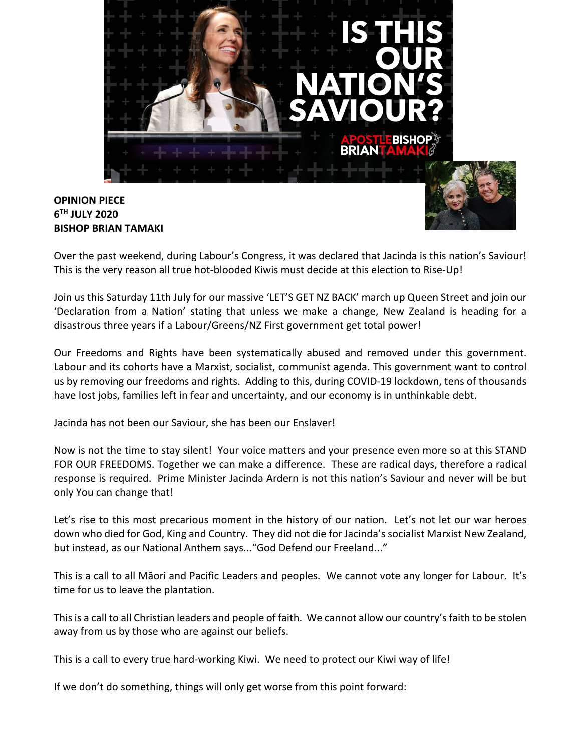

## **OPINION PIECE 6TH JULY 2020 BISHOP BRIAN TAMAKI**



Over the past weekend, during Labour's Congress, it was declared that Jacinda is this nation's Saviour! This is the very reason all true hot-blooded Kiwis must decide at this election to Rise-Up!

Join us this Saturday 11th July for our massive 'LET'S GET NZ BACK' march up Queen Street and join our 'Declaration from a Nation' stating that unless we make a change, New Zealand is heading for a disastrous three years if a Labour/Greens/NZ First government get total power!

Our Freedoms and Rights have been systematically abused and removed under this government. Labour and its cohorts have a Marxist, socialist, communist agenda. This government want to control us by removing our freedoms and rights. Adding to this, during COVID-19 lockdown, tens of thousands have lost jobs, families left in fear and uncertainty, and our economy is in unthinkable debt.

Jacinda has not been our Saviour, she has been our Enslaver!

Now is not the time to stay silent! Your voice matters and your presence even more so at this STAND FOR OUR FREEDOMS. Together we can make a difference. These are radical days, therefore a radical response is required. Prime Minister Jacinda Ardern is not this nation's Saviour and never will be but only You can change that!

Let's rise to this most precarious moment in the history of our nation. Let's not let our war heroes down who died for God, King and Country. They did not die for Jacinda's socialist Marxist New Zealand, but instead, as our National Anthem says..."God Defend our Freeland..."

This is a call to all Māori and Pacific Leaders and peoples. We cannot vote any longer for Labour. It's time for us to leave the plantation.

This is a call to all Christian leaders and people of faith. We cannot allow our country's faith to be stolen away from us by those who are against our beliefs.

This is a call to every true hard-working Kiwi. We need to protect our Kiwi way of life!

If we don't do something, things will only get worse from this point forward: